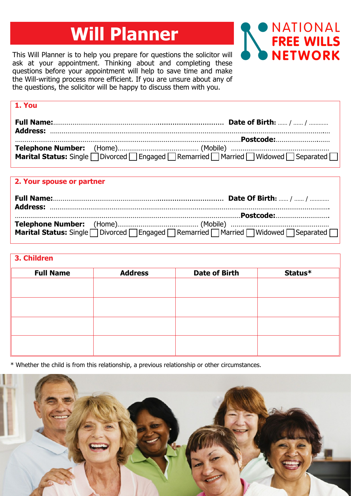# **Will Planner**

This Will Planner is to help you prepare for questions the solicitor will ask at your appointment. Thinking about and completing these questions before your appointment will help to save time and make the Will-writing process more efficient. If you are unsure about any of the questions, the solicitor will be happy to discuss them with you.

**1. You**



| Marital Status: Single   Divorced   Engaged   Remarried   Married   Widowed   Separated |
|-----------------------------------------------------------------------------------------|
|                                                                                         |

| 2. Your spouse or partner |                                                                                                |
|---------------------------|------------------------------------------------------------------------------------------------|
|                           |                                                                                                |
|                           |                                                                                                |
|                           | <b>Marital Status:</b> Single   Divorced   Engaged   Remarried   Married   Widowed   Separated |

| 3. Children      |                |                      |         |
|------------------|----------------|----------------------|---------|
| <b>Full Name</b> | <b>Address</b> | <b>Date of Birth</b> | Status* |
|                  |                |                      |         |
|                  |                |                      |         |
|                  |                |                      |         |
|                  |                |                      |         |
|                  |                |                      |         |
|                  |                |                      |         |

\* Whether the child is from this relationship, a previous relationship or other circumstances.

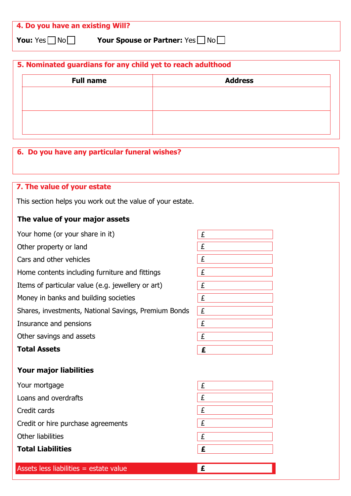| 4. Do you have an existing Will? |                             |
|----------------------------------|-----------------------------|
| <b>You:</b> Yes $\Box$ No $\Box$ | Your Spouse or Partner: Yes |

**5. Nominated guardians for any child yet to reach adulthood Full name Address**

| 6. Do you have any particular funeral wishes?             |  |
|-----------------------------------------------------------|--|
|                                                           |  |
|                                                           |  |
|                                                           |  |
|                                                           |  |
| 7. The value of your estate                               |  |
| This section helps you work out the value of your estate. |  |
|                                                           |  |
|                                                           |  |

## **The value of your major assets**

| Your home (or your share in it)                      | £ |
|------------------------------------------------------|---|
| Other property or land                               | £ |
| Cars and other vehicles                              | £ |
| Home contents including furniture and fittings       | £ |
| Items of particular value (e.g. jewellery or art)    | £ |
| Money in banks and building societies                | £ |
| Shares, investments, National Savings, Premium Bonds | £ |
| Insurance and pensions                               | £ |
| Other savings and assets                             | £ |
| <b>Total Assets</b>                                  | £ |
| Your major liabilities                               |   |
| Your mortgage                                        | £ |
| Loans and overdrafts                                 | £ |
| Credit cards                                         | £ |
| Credit or hire purchase agreements                   | £ |
| Other liabilities                                    | £ |

**£**

**Total Liabilities**

Assets less liabilities = estate value **£**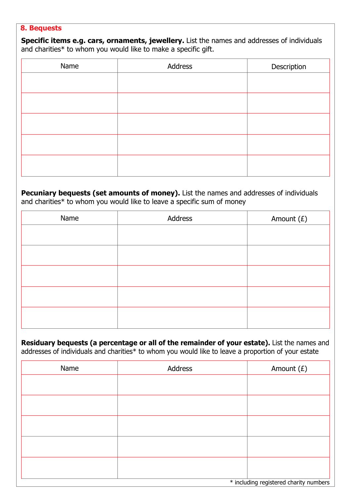#### **8. Bequests**

**Specific items e.g. cars, ornaments, jewellery.** List the names and addresses of individuals and charities\* to whom you would like to make a specific gift.

| Name | Address | Description |
|------|---------|-------------|
|      |         |             |
|      |         |             |
|      |         |             |
|      |         |             |
|      |         |             |
|      |         |             |
|      |         |             |
|      |         |             |

Pecuniary bequests (set amounts of money). List the names and addresses of individuals and charities\* to whom you would like to leave a specific sum of money

| Name | Address | Amount $(E)$ |
|------|---------|--------------|
|      |         |              |
|      |         |              |
|      |         |              |
|      |         |              |
|      |         |              |
|      |         |              |
|      |         |              |
|      |         |              |

**Residuary bequests (a percentage or all of the remainder of your estate).** List the names and addresses of individuals and charities\* to whom you would like to leave a proportion of your estate

| Name | Address | Amount $(E)$                           |
|------|---------|----------------------------------------|
|      |         |                                        |
|      |         |                                        |
|      |         |                                        |
|      |         |                                        |
|      |         |                                        |
|      |         |                                        |
|      |         |                                        |
|      |         |                                        |
|      |         | * including registered charity numbers |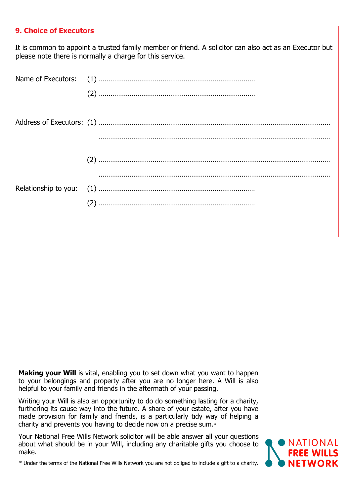| <b>9. Choice of Executors</b> |                                                                                                                                                                    |
|-------------------------------|--------------------------------------------------------------------------------------------------------------------------------------------------------------------|
|                               | It is common to appoint a trusted family member or friend. A solicitor can also act as an Executor but<br>please note there is normally a charge for this service. |
|                               |                                                                                                                                                                    |
|                               |                                                                                                                                                                    |
|                               |                                                                                                                                                                    |
|                               |                                                                                                                                                                    |
| Relationship to you:          |                                                                                                                                                                    |
|                               |                                                                                                                                                                    |
|                               |                                                                                                                                                                    |

**Making your Will** is vital, enabling you to set down what you want to happen to your belongings and property after you are no longer here. A Will is also helpful to your family and friends in the aftermath of your passing.

Writing your Will is also an opportunity to do do something lasting for a charity, furthering its cause way into the future. A share of your estate, after you have made provision for family and friends, is a particularly tidy way of helping a charity and prevents you having to decide now on a precise sum.\*

Your National Free Wills Network solicitor will be able answer all your questions about what should be in your Will, including any charitable gifts you choose to make.



\* Under the terms of the National Free Wills Network you are not obliged to include a gift to a charity.